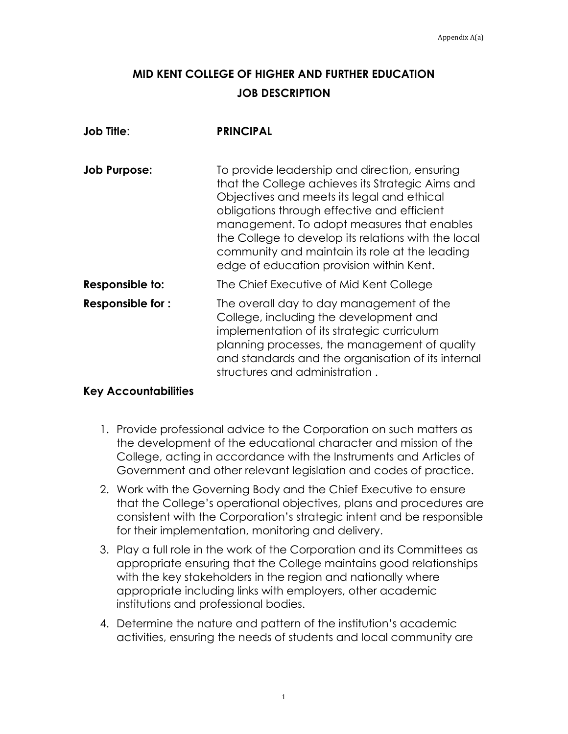## **MID KENT COLLEGE OF HIGHER AND FURTHER EDUCATION JOB DESCRIPTION**

| <b>Job Title:</b>   | <b>PRINCIPAL</b>                                                                                                                                                                                                                                                                                                                                                                                  |
|---------------------|---------------------------------------------------------------------------------------------------------------------------------------------------------------------------------------------------------------------------------------------------------------------------------------------------------------------------------------------------------------------------------------------------|
| <b>Job Purpose:</b> | To provide leadership and direction, ensuring<br>that the College achieves its Strategic Aims and<br>Objectives and meets its legal and ethical<br>obligations through effective and efficient<br>management. To adopt measures that enables<br>the College to develop its relations with the local<br>community and maintain its role at the leading<br>edge of education provision within Kent. |
| Responsible to:     | The Chief Executive of Mid Kent College                                                                                                                                                                                                                                                                                                                                                           |
| Responsible for:    | The overall day to day management of the<br>College, including the development and<br>implementation of its strategic curriculum<br>planning processes, the management of quality<br>and standards and the organisation of its internal<br>structures and administration.                                                                                                                         |

## **Key Accountabilities**

- 1. Provide professional advice to the Corporation on such matters as the development of the educational character and mission of the College, acting in accordance with the Instruments and Articles of Government and other relevant legislation and codes of practice.
- 2. Work with the Governing Body and the Chief Executive to ensure that the College's operational objectives, plans and procedures are consistent with the Corporation's strategic intent and be responsible for their implementation, monitoring and delivery.
- 3. Play a full role in the work of the Corporation and its Committees as appropriate ensuring that the College maintains good relationships with the key stakeholders in the region and nationally where appropriate including links with employers, other academic institutions and professional bodies.
- 4. Determine the nature and pattern of the institution's academic activities, ensuring the needs of students and local community are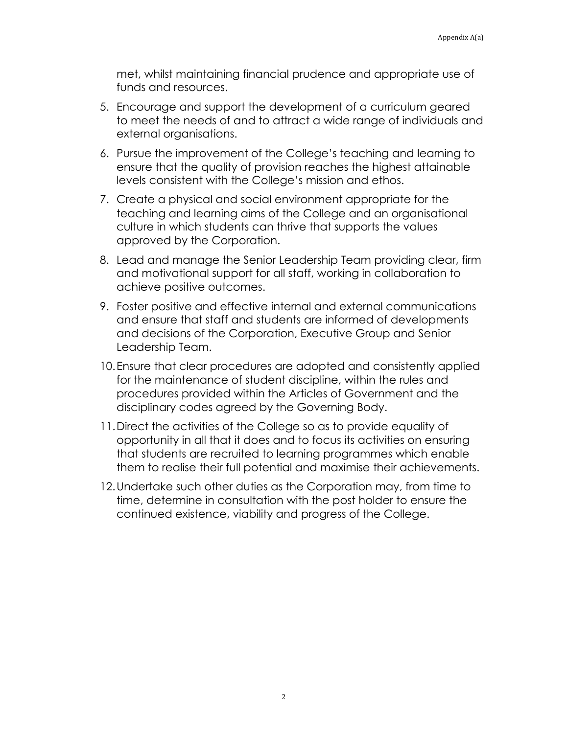met, whilst maintaining financial prudence and appropriate use of funds and resources.

- 5. Encourage and support the development of a curriculum geared to meet the needs of and to attract a wide range of individuals and external organisations.
- 6. Pursue the improvement of the College's teaching and learning to ensure that the quality of provision reaches the highest attainable levels consistent with the College's mission and ethos.
- 7. Create a physical and social environment appropriate for the teaching and learning aims of the College and an organisational culture in which students can thrive that supports the values approved by the Corporation.
- 8. Lead and manage the Senior Leadership Team providing clear, firm and motivational support for all staff, working in collaboration to achieve positive outcomes.
- 9. Foster positive and effective internal and external communications and ensure that staff and students are informed of developments and decisions of the Corporation, Executive Group and Senior Leadership Team.
- 10.Ensure that clear procedures are adopted and consistently applied for the maintenance of student discipline, within the rules and procedures provided within the Articles of Government and the disciplinary codes agreed by the Governing Body.
- 11.Direct the activities of the College so as to provide equality of opportunity in all that it does and to focus its activities on ensuring that students are recruited to learning programmes which enable them to realise their full potential and maximise their achievements.
- 12.Undertake such other duties as the Corporation may, from time to time, determine in consultation with the post holder to ensure the continued existence, viability and progress of the College.